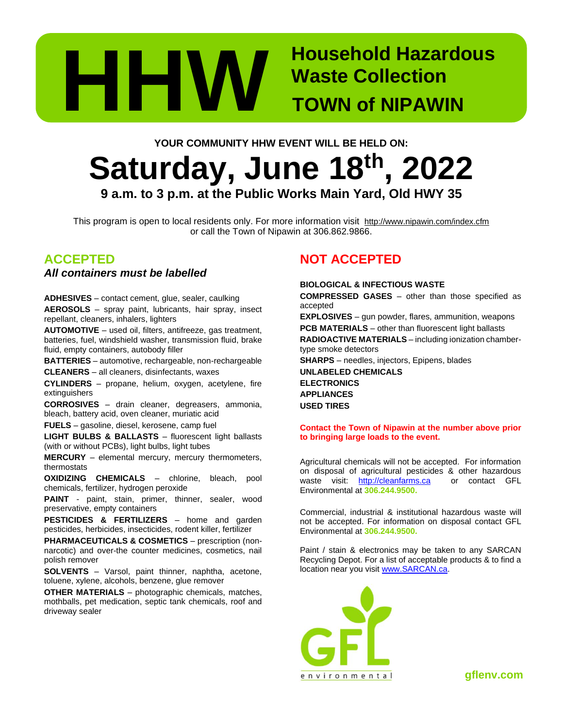

# **Waste Collection TOWN of NIPAWIN**

## **YOUR COMMUNITY HHW EVENT WILL BE HELD ON: Saturday, June 18 th , 2022 9 a.m. to 3 p.m. at the Public Works Main Yard, Old HWY 35**

This program is open to local residents only. For more information visit http://www.nipawin.com/index.cfm or call the Town of Nipawin at 306.862.9866.

### **ACCEPTED**

*All containers must be labelled*

**ADHESIVES** – contact cement, glue, sealer, caulking **AEROSOLS** – spray paint, lubricants, hair spray, insect repellant, cleaners, inhalers, lighters

**AUTOMOTIVE** – used oil, filters, antifreeze, gas treatment, batteries, fuel, windshield washer, transmission fluid, brake fluid, empty containers, autobody filler

**BATTERIES** – automotive, rechargeable, non-rechargeable **CLEANERS** – all cleaners, disinfectants, waxes

**CYLINDERS** – propane, helium, oxygen, acetylene, fire extinguishers

**CORROSIVES** – drain cleaner, degreasers, ammonia, bleach, battery acid, oven cleaner, muriatic acid

**FUELS** – gasoline, diesel, kerosene, camp fuel

**LIGHT BULBS & BALLASTS** – fluorescent light ballasts (with or without PCBs), light bulbs, light tubes

**MERCURY** – elemental mercury, mercury thermometers, thermostats

**OXIDIZING CHEMICALS** – chlorine, bleach, pool chemicals, fertilizer, hydrogen peroxide

PAINT - paint, stain, primer, thinner, sealer, wood preservative, empty containers

**PESTICIDES & FERTILIZERS** – home and garden pesticides, herbicides, insecticides, rodent killer, fertilizer

**PHARMACEUTICALS & COSMETICS** – prescription (nonnarcotic) and over-the counter medicines, cosmetics, nail polish remover

**SOLVENTS** – Varsol, paint thinner, naphtha, acetone, toluene, xylene, alcohols, benzene, glue remover

**OTHER MATERIALS** – photographic chemicals, matches, mothballs, pet medication, septic tank chemicals, roof and driveway sealer

## **NOT ACCEPTED**

#### **BIOLOGICAL & INFECTIOUS WASTE**

**COMPRESSED GASES** – other than those specified as accepted

**EXPLOSIVES** – gun powder, flares, ammunition, weapons **PCB MATERIALS** – other than fluorescent light ballasts

**RADIOACTIVE MATERIALS** – including ionization chambertype smoke detectors

**SHARPS** – needles, injectors, Epipens, blades

**UNLABELED CHEMICALS ELECTRONICS APPLIANCES USED TIRES**

#### **Contact the Town of Nipawin at the number above prior to bringing large loads to the event.**

Agricultural chemicals will not be accepted. For information on disposal of agricultural pesticides & other hazardous waste visit: [http://cleanfarms.ca](http://cleanfarms.ca/) or contact GFL Environmental at **306.244.9500.**

Commercial, industrial & institutional hazardous waste will not be accepted. For information on disposal contact GFL Environmental at **306.244.9500.**

Paint / stain & electronics may be taken to any SARCAN Recycling Depot. For a list of acceptable products & to find a location near you visit [www.SARCAN.ca.](http://www.sarcan.ca/)



**gflenv.com**